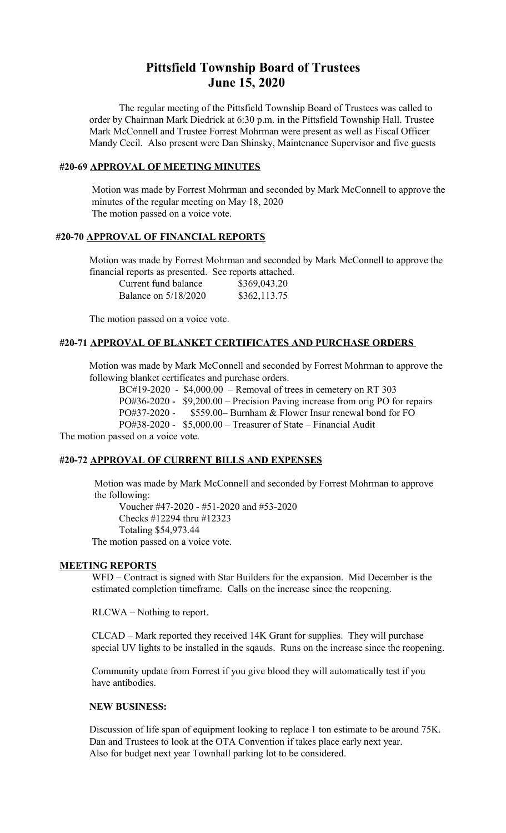# **Pittsfield Township Board of Trustees June 15, 2020**

The regular meeting of the Pittsfield Township Board of Trustees was called to order by Chairman Mark Diedrick at 6:30 p.m. in the Pittsfield Township Hall. Trustee Mark McConnell and Trustee Forrest Mohrman were present as well as Fiscal Officer Mandy Cecil. Also present were Dan Shinsky, Maintenance Supervisor and five guests

#### **#20-69 APPROVAL OF MEETING MINUTES**

 Motion was made by Forrest Mohrman and seconded by Mark McConnell to approve the minutes of the regular meeting on May 18, 2020 The motion passed on a voice vote.

### **#20-70 APPROVAL OF FINANCIAL REPORTS**

Motion was made by Forrest Mohrman and seconded by Mark McConnell to approve the financial reports as presented. See reports attached.

| Current fund balance | \$369,043.20 |
|----------------------|--------------|
| Balance on 5/18/2020 | \$362,113.75 |

The motion passed on a voice vote.

### **#20-71 APPROVAL OF BLANKET CERTIFICATES AND PURCHASE ORDERS**

Motion was made by Mark McConnell and seconded by Forrest Mohrman to approve the following blanket certificates and purchase orders.

BC#19-2020 - \$4,000.00 – Removal of trees in cemetery on RT 303 PO#36-2020 - \$9,200.00 – Precision Paving increase from orig PO for repairs PO#37-2020 - \$559.00– Burnham & Flower Insur renewal bond for FO PO#38-2020 - \$5,000.00 – Treasurer of State – Financial Audit

The motion passed on a voice vote.

#### **#20-72 APPROVAL OF CURRENT BILLS AND EXPENSES**

 Motion was made by Mark McConnell and seconded by Forrest Mohrman to approve the following:

Voucher #47-2020 - #51-2020 and #53-2020 Checks #12294 thru #12323 Totaling \$54,973.44 The motion passed on a voice vote.

#### **MEETING REPORTS**

WFD – Contract is signed with Star Builders for the expansion. Mid December is the estimated completion timeframe. Calls on the increase since the reopening.

RLCWA – Nothing to report.

CLCAD – Mark reported they received 14K Grant for supplies. They will purchase special UV lights to be installed in the sqauds. Runs on the increase since the reopening.

Community update from Forrest if you give blood they will automatically test if you have antibodies.

#### **NEW BUSINESS:**

Discussion of life span of equipment looking to replace 1 ton estimate to be around 75K. Dan and Trustees to look at the OTA Convention if takes place early next year. Also for budget next year Townhall parking lot to be considered.